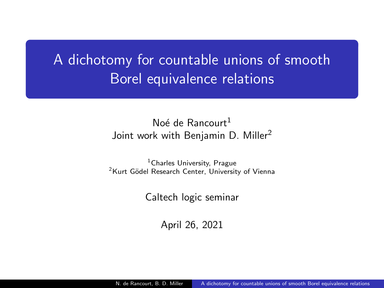# <span id="page-0-0"></span>A dichotomy for countable unions of smooth Borel equivalence relations

## Noé de Rancourt<sup>1</sup> Joint work with Benjamin D. Miller<sup>2</sup>

<sup>1</sup> Charles University, Prague <sup>2</sup>Kurt Gödel Research Center. University of Vienna

Caltech logic seminar

April 26, 2021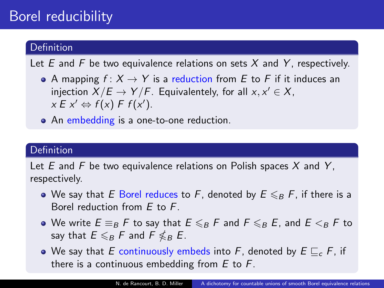## Borel reducibility

## Definition

Let E and F be two equivalence relations on sets X and Y, respectively.

- A mapping  $f: X \to Y$  is a reduction from E to F if it induces an injection  $X/E \to Y/F$ . Equivalentely, for all  $x, x' \in X$ ,  $x E x' \Leftrightarrow f(x) F f(x').$
- An embedding is a one-to-one reduction.

### Definition

Let  $E$  and  $F$  be two equivalence relations on Polish spaces  $X$  and  $Y$ . respectively.

- We say that E Borel reduces to F, denoted by  $E \leq_B F$ , if there is a Borel reduction from E to F.
- We write  $E \equiv_B F$  to say that  $E \leq_B F$  and  $F \leq_B E$ , and  $E \leq_B F$  to say that  $E\leqslant_B F$  and  $\overline{F}\nleqslant_B E$ .
- We say that E continuously embeds into F, denoted by  $E \sqsubset_{c} F$ , if there is a continuous embedding from  $E$  to  $F$ .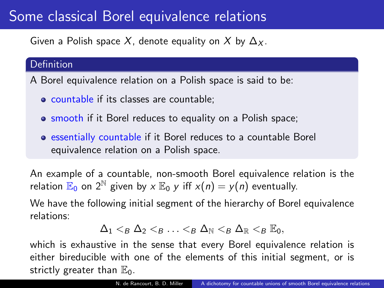## Some classical Borel equivalence relations

Given a Polish space X, denote equality on X by  $\Delta_X$ .

### Definition

A Borel equivalence relation on a Polish space is said to be:

- countable if its classes are countable:
- **o** smooth if it Borel reduces to equality on a Polish space;
- essentially countable if it Borel reduces to a countable Borel equivalence relation on a Polish space.

An example of a countable, non-smooth Borel equivalence relation is the relation  $\mathbb{E}_0$  on  $2^{\mathbb{N}}$  given by  $x \mathbb{E}_0$  y iff  $x(n) = y(n)$  eventually.

We have the following initial segment of the hierarchy of Borel equivalence relations:

$$
\Delta_1 <_B \Delta_2 <_B \ldots <_B \Delta_{\mathbb{N}} <_B \Delta_{\mathbb{R}} <_B \mathbb{E}_0,
$$

which is exhaustive in the sense that every Borel equivalence relation is either bireducible with one of the elements of this initial segment, or is strictly greater than  $\mathbb{E}_0$ .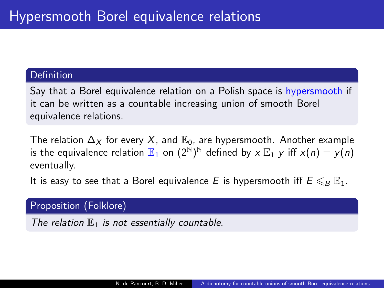#### **Definition**

Say that a Borel equivalence relation on a Polish space is hypersmooth if it can be written as a countable increasing union of smooth Borel equivalence relations.

The relation  $\Delta_X$  for every X, and  $\mathbb{E}_0$ , are hypersmooth. Another example is the equivalence relation  $\mathbb{E}_1$  on  $(2^{\bar{\mathbb{N}}})^{\mathbb{N}}$  defined by  $x\mathbb{E}_1$   $y$  iff  $x(n)=y(n)$ eventually.

It is easy to see that a Borel equivalence E is hypersmooth iff  $E \leq_B \mathbb{E}_1$ .

Proposition (Folklore)

The relation  $\mathbb{E}_1$  is not essentially countable.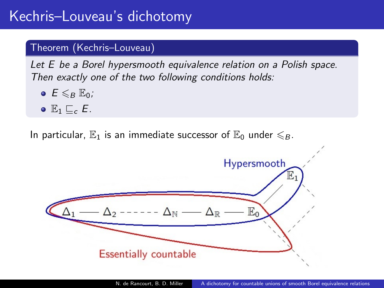## Kechris–Louveau's dichotomy

### Theorem (Kechris–Louveau)

Let E be a Borel hypersmooth equivalence relation on a Polish space. Then exactly one of the two following conditions holds:

- $E \leqslant_{B} E_{0}$ ;
- $\bullet$   $\mathbb{E}_1$   $\sqsubset$   $\subset$   $E$ .

In particular,  $\mathbb{E}_1$  is an immediate successor of  $\mathbb{E}_0$  under  $\leq R$ .

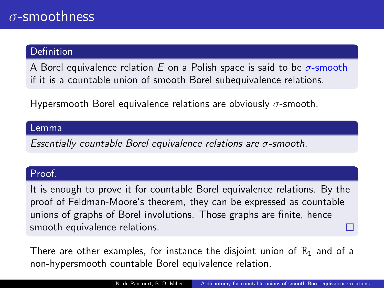### Definition

A Borel equivalence relation E on a Polish space is said to be  $\sigma$ -smooth if it is a countable union of smooth Borel subequivalence relations.

Hypersmooth Borel equivalence relations are obviously  $\sigma$ -smooth.

#### Lemma

Essentially countable Borel equivalence relations are  $\sigma$ -smooth.

#### Proof.

It is enough to prove it for countable Borel equivalence relations. By the proof of Feldman-Moore's theorem, they can be expressed as countable unions of graphs of Borel involutions. Those graphs are finite, hence smooth equivalence relations.

There are other examples, for instance the disjoint union of  $\mathbb{E}_1$  and of a non-hypersmooth countable Borel equivalence relation.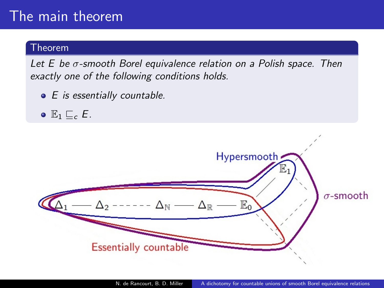## The main theorem

### Theorem

Let  $E$  be  $\sigma$ -smooth Borel equivalence relation on a Polish space. Then exactly one of the following conditions holds.

- $\bullet$  E is essentially countable.
- $\bullet E_1 \sqsubset_{c} E$ .

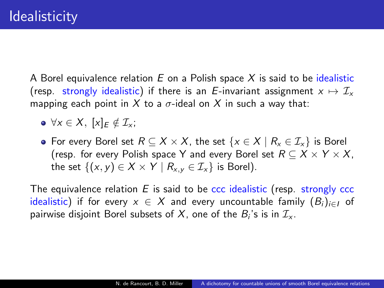A Borel equivalence relation  $E$  on a Polish space X is said to be idealistic (resp. strongly idealistic) if there is an E-invariant assignment  $x \mapsto \mathcal{I}_x$ mapping each point in X to a  $\sigma$ -ideal on X in such a way that:

- $\bullet \forall x \in X, [x]_E \notin \mathcal{I}_x;$
- For every Borel set  $R \subseteq X \times X$ , the set  $\{x \in X \mid R_x \in \mathcal{I}_x\}$  is Borel (resp. for every Polish space Y and every Borel set  $R \subseteq X \times Y \times X$ , the set  $\{(x, y) \in X \times Y \mid R_{x,y} \in I_{x}\}\)$  is Borel).

The equivalence relation  $E$  is said to be ccc idealistic (resp. strongly ccc idealistic) if for every  $x \in X$  and every uncountable family  $(B_i)_{i \in I}$  of pairwise disjoint Borel subsets of  $X$ , one of the  $B_i$ 's is in  $\mathcal{I}_\mathsf{x}.$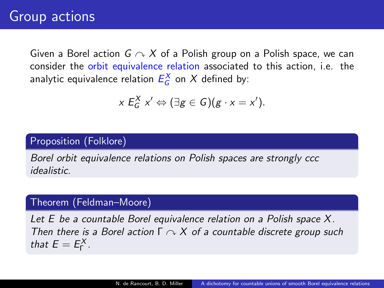Given a Borel action  $G \curvearrowright X$  of a Polish group on a Polish space, we can consider the orbit equivalence relation associated to this action, i.e. the analytic equivalence relation  $E_G^X$  on  $X$  defined by:

$$
x E_G^X x' \Leftrightarrow (\exists g \in G)(g \cdot x = x').
$$

## Proposition (Folklore)

Borel orbit equivalence relations on Polish spaces are strongly ccc idealistic.

### Theorem (Feldman–Moore)

Let E be a countable Borel equivalence relation on a Polish space X. Then there is a Borel action  $\Gamma \curvearrowright X$  of a countable discrete group such that  $E = E_{\Gamma}^X$ .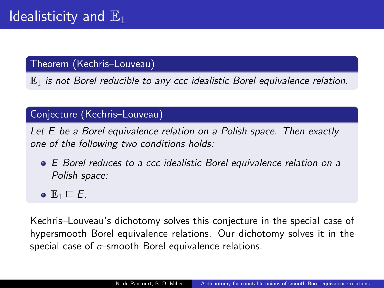Theorem (Kechris–Louveau)

 $\mathbb{E}_1$  is not Borel reducible to any ccc idealistic Borel equivalence relation.

## Conjecture (Kechris–Louveau)

Let E be a Borel equivalence relation on a Polish space. Then exactly one of the following two conditions holds:

- E Borel reduces to a ccc idealistic Borel equivalence relation on a Polish space;
- $\bullet \mathbb{E}_1 \sqsubset E$ .

Kechris–Louveau's dichotomy solves this conjecture in the special case of hypersmooth Borel equivalence relations. Our dichotomy solves it in the special case of  $\sigma$ -smooth Borel equivalence relations.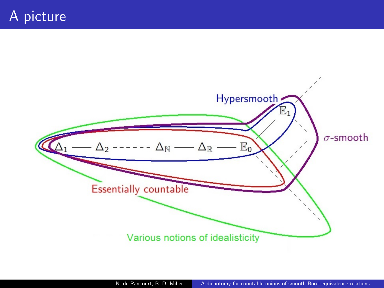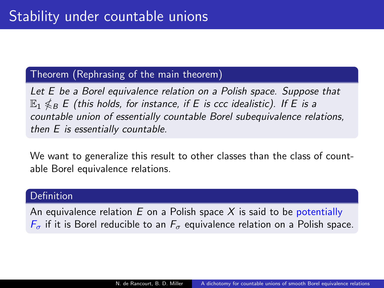### Theorem (Rephrasing of the main theorem)

Let E be a Borel equivalence relation on a Polish space. Suppose that  $\mathbb{E}_{1}\not\leqslant_{B} E$  (this holds, for instance, if E is ccc idealistic). If E is a countable union of essentially countable Borel subequivalence relations, then E is essentially countable.

We want to generalize this result to other classes than the class of countable Borel equivalence relations.

### Definition

An equivalence relation  $E$  on a Polish space X is said to be potentially  $F_{\sigma}$  if it is Borel reducible to an  $F_{\sigma}$  equivalence relation on a Polish space.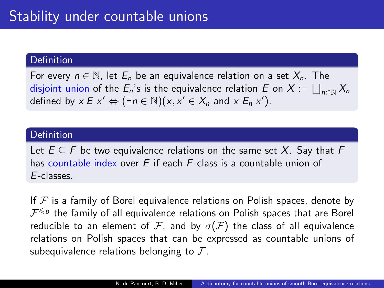#### **Definition**

For every  $n \in \mathbb{N}$ , let  $E_n$  be an equivalence relation on a set  $X_n$ . The disjoint union of the  $E_n$ 's is the equivalence relation  $E$  on  $X := \bigsqcup_{n \in \mathbb{N}} X_n$ defined by  $x \in x' \Leftrightarrow (\exists n \in \mathbb{N})(x, x' \in X_n \text{ and } x \in X_n x')$ .

#### Definition

Let  $E \subseteq F$  be two equivalence relations on the same set X. Say that F has countable index over  $E$  if each  $F$ -class is a countable union of E-classes.

If  $F$  is a family of Borel equivalence relations on Polish spaces, denote by  ${\cal F}^{\leqslant_B}$  the family of all equivalence relations on Polish spaces that are Borel reducible to an element of F, and by  $\sigma(F)$  the class of all equivalence relations on Polish spaces that can be expressed as countable unions of subequivalence relations belonging to  $\mathcal{F}$ .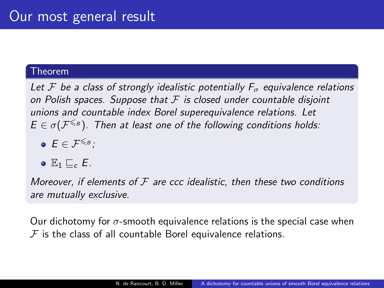#### Theorem

Let F be a class of strongly idealistic potentially  $F_{\sigma}$  equivalence relations on Polish spaces. Suppose that  $F$  is closed under countable disjoint unions and countable index Borel superequivalence relations. Let  $E \in \sigma(\mathcal{F}^{\leqslant_B})$ . Then at least one of the following conditions holds:

- $\bullet$   $E \in \mathcal{F}^{\leqslant_B}$
- $\bullet E_1 \sqsubset_{c} E$ .

Moreover, if elements of  $\mathcal F$  are ccc idealistic, then these two conditions are mutually exclusive.

Our dichotomy for  $\sigma$ -smooth equivalence relations is the special case when  $F$  is the class of all countable Borel equivalence relations.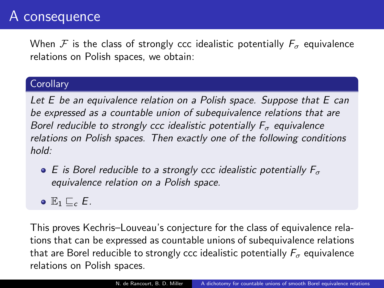## A consequence

When F is the class of strongly ccc idealistic potentially  $F_{\sigma}$  equivalence relations on Polish spaces, we obtain:

### **Corollary**

Let E be an equivalence relation on a Polish space. Suppose that E can be expressed as a countable union of subequivalence relations that are Borel reducible to strongly ccc idealistic potentially  $F_{\sigma}$  equivalence relations on Polish spaces. Then exactly one of the following conditions hold:

- $\bullet$  E is Borel reducible to a strongly ccc idealistic potentially  $F_{\sigma}$ equivalence relation on a Polish space.
- $\bullet E_1 \sqsubset_{c} E$ .

This proves Kechris–Louveau's conjecture for the class of equivalence relations that can be expressed as countable unions of subequivalence relations that are Borel reducible to strongly ccc idealistic potentially  $F_{\sigma}$  equivalence relations on Polish spaces.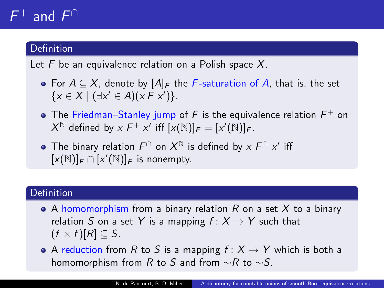# $F^+$  and  $F^{\cap}$

## **Definition**

Let  $F$  be an equivalence relation on a Polish space  $X$ .

- For  $A \subseteq X$ , denote by  $[A]_F$  the F-saturation of A, that is, the set  $\{x \in X \mid (\exists x' \in A)(x \in x')\}.$
- The Friedman–Stanley jump of F is the equivalence relation  $F^+$  on  $X^{\mathbb{N}}$  defined by  $x F^+ x'$  iff  $[x(\mathbb{N})]_F = [x'(\mathbb{N})]_F$ .
- The binary relation  $F^{\cap}$  on  $X^{\mathbb{N}}$  is defined by  $x \nmid F^{\cap} x'$  iff  $[x(\mathbb{N})]_F \cap [x'(\mathbb{N})]_F$  is nonempty.

## Definition

- A homomorphism from a binary relation  $R$  on a set  $X$  to a binary relation S on a set Y is a mapping  $f: X \rightarrow Y$  such that  $(f \times f)[R] \subset S$ .
- A reduction from R to S is a mapping  $f: X \rightarrow Y$  which is both a homomorphism from R to S and from  $\sim$ R to  $\sim$ S.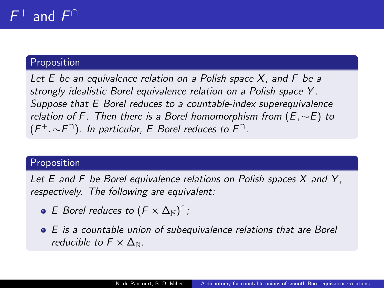#### F  $^+$  and  $F^{\cap}$

### Proposition

Let  $E$  be an equivalence relation on a Polish space  $X$ , and  $F$  be a strongly idealistic Borel equivalence relation on a Polish space Y . Suppose that E Borel reduces to a countable-index superequivalence relation of F. Then there is a Borel homomorphism from  $(E, \sim E)$  to  $(F^+,\sim\!F^\cap)$ . In particular, E Borel reduces to  $F^\cap$ .

#### Proposition

Let  $E$  and  $F$  be Borel equivalence relations on Polish spaces  $X$  and  $Y$ , respectively. The following are equivalent:

- E Borel reduces to  $(F \times \Delta_{\mathbb{N}})$ <sup>n</sup>;
- E is a countable union of subequivalence relations that are Borel reducible to  $F \times \Delta_N$ .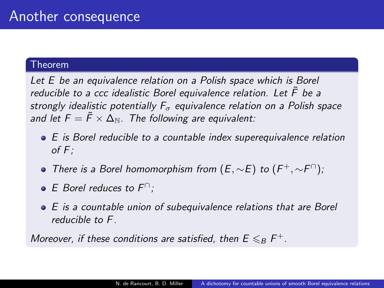#### Theorem

Let E be an equivalence relation on a Polish space which is Borel reducible to a ccc idealistic Borel equivalence relation. Let  $\ddot{F}$  be a strongly idealistic potentially  $F_{\sigma}$  equivalence relation on a Polish space and let  $F = \tilde{F} \times \Delta_N$ . The following are equivalent:

- E is Borel reducible to a countable index superequivalence relation of F;
- There is a Borel homomorphism from  $(E, \sim E)$  to  $(F^+, \sim F^{\cap})$ ;
- E Borel reduces to  $F^{\cap}$ ;
- E is a countable union of subequivalence relations that are Borel reducible to F.

Moreover, if these conditions are satisfied, then  $E\leqslant_B F^+.$